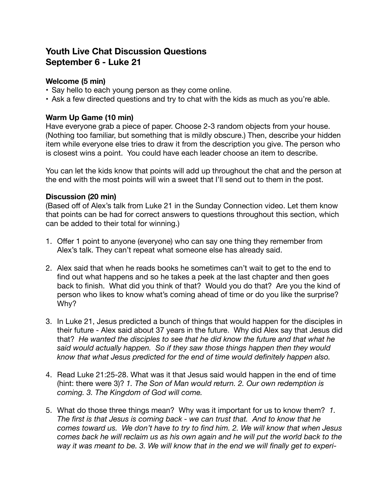# **Youth Live Chat Discussion Questions September 6 - Luke 21**

## **Welcome (5 min)**

- Say hello to each young person as they come online.
- Ask a few directed questions and try to chat with the kids as much as you're able.

## **Warm Up Game (10 min)**

Have everyone grab a piece of paper. Choose 2-3 random objects from your house. (Nothing too familiar, but something that is mildly obscure.) Then, describe your hidden item while everyone else tries to draw it from the description you give. The person who is closest wins a point. You could have each leader choose an item to describe.

You can let the kids know that points will add up throughout the chat and the person at the end with the most points will win a sweet that I'll send out to them in the post.

### **Discussion (20 min)**

(Based off of Alex's talk from Luke 21 in the Sunday Connection video. Let them know that points can be had for correct answers to questions throughout this section, which can be added to their total for winning.)

- 1. Offer 1 point to anyone (everyone) who can say one thing they remember from Alex's talk. They can't repeat what someone else has already said.
- 2. Alex said that when he reads books he sometimes can't wait to get to the end to find out what happens and so he takes a peek at the last chapter and then goes back to finish. What did you think of that? Would you do that? Are you the kind of person who likes to know what's coming ahead of time or do you like the surprise? Why?
- 3. In Luke 21, Jesus predicted a bunch of things that would happen for the disciples in their future - Alex said about 37 years in the future. Why did Alex say that Jesus did that? *He wanted the disciples to see that he did know the future and that what he said would actually happen. So if they saw those things happen then they would know that what Jesus predicted for the end of time would definitely happen also.*
- 4. Read Luke 21:25-28. What was it that Jesus said would happen in the end of time (hint: there were 3)? *1. The Son of Man would return. 2. Our own redemption is coming. 3. The Kingdom of God will come.*
- 5. What do those three things mean? Why was it important for us to know them? *1. The first is that Jesus is coming back - we can trust that. And to know that he comes toward us. We don't have to try to find him. 2. We will know that when Jesus comes back he will reclaim us as his own again and he will put the world back to the way it was meant to be. 3. We will know that in the end we will finally get to experi-*